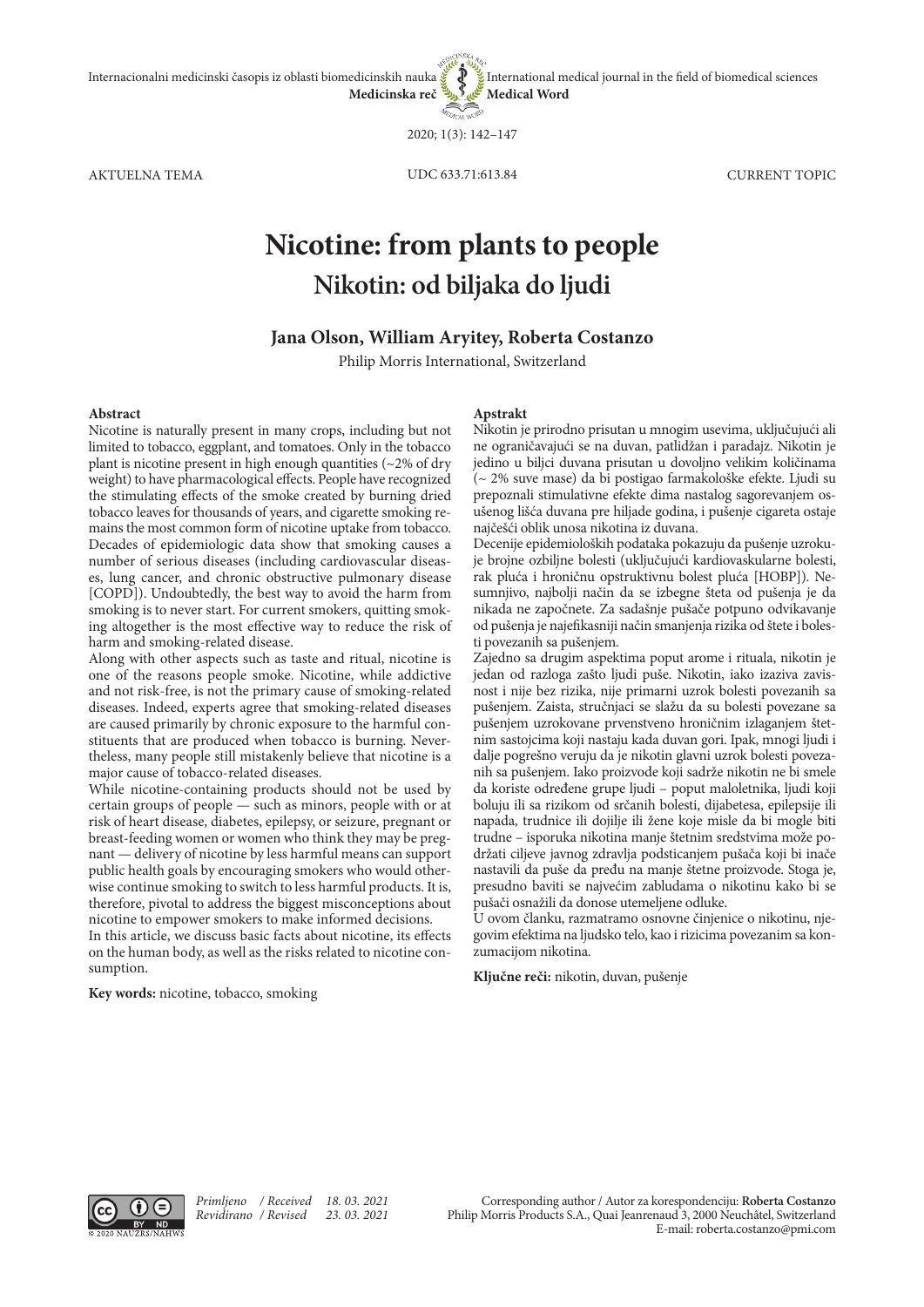**Medical Word**

2020; 1(3): 142–147

AKTUELNA TEMA CURRENT TOPIC

UDC 633.71:613.84

# **Nicotine: from plants to people Nikotin: od biljaka do ljudi**

## **Jana Olson, William Aryitey, Roberta Costanzo**

Philip Morris International, Switzerland

#### **Abstract**

Nicotine is naturally present in many crops, including but not limited to tobacco, eggplant, and tomatoes. Only in the tobacco plant is nicotine present in high enough quantities (~2% of dry weight) to have pharmacological effects. People have recognized the stimulating effects of the smoke created by burning dried tobacco leaves for thousands of years, and cigarette smoking remains the most common form of nicotine uptake from tobacco. Decades of epidemiologic data show that smoking causes a number of serious diseases (including cardiovascular diseases, lung cancer, and chronic obstructive pulmonary disease [COPD]). Undoubtedly, the best way to avoid the harm from smoking is to never start. For current smokers, quitting smoking altogether is the most effective way to reduce the risk of harm and smoking-related disease.

Along with other aspects such as taste and ritual, nicotine is one of the reasons people smoke. Nicotine, while addictive and not risk-free, is not the primary cause of smoking-related diseases. Indeed, experts agree that smoking-related diseases are caused primarily by chronic exposure to the harmful constituents that are produced when tobacco is burning. Nevertheless, many people still mistakenly believe that nicotine is a major cause of tobacco-related diseases.

While nicotine-containing products should not be used by certain groups of people — such as minors, people with or at risk of heart disease, diabetes, epilepsy, or seizure, pregnant or breast-feeding women or women who think they may be pregnant — delivery of nicotine by less harmful means can support public health goals by encouraging smokers who would otherwise continue smoking to switch to less harmful products. It is, therefore, pivotal to address the biggest misconceptions about nicotine to empower smokers to make informed decisions.

In this article, we discuss basic facts about nicotine, its effects on the human body, as well as the risks related to nicotine consumption.

**Key words:** nicotine, tobacco, smoking

#### **Apstrakt**

Nikotin je prirodno prisutan u mnogim usevima, uključujući ali ne ograničavajući se na duvan, patlidžan i paradajz. Nikotin je jedino u biljci duvana prisutan u dovoljno velikim količinama (~ 2% suve mase) da bi postigao farmakološke efekte. Ljudi su prepoznali stimulativne efekte dima nastalog sagorevanjem osušenog lišća duvana pre hiljade godina, i pušenje cigareta ostaje najčešći oblik unosa nikotina iz duvana.

International medical journal in the field of biomedical sciences

Decenije epidemioloških podataka pokazuju da pušenje uzrokuje brojne ozbiljne bolesti (uključujući kardiovaskularne bolesti, rak pluća i hroničnu opstruktivnu bolest pluća [HOBP]). Nesumnjivo, najbolji način da se izbegne šteta od pušenja je da nikada ne započnete. Za sadašnje pušače potpuno odvikavanje od pušenja je najefikasniji način smanjenja rizika od štete i bolesti povezanih sa pušenjem.

Zajedno sa drugim aspektima poput arome i rituala, nikotin je jedan od razloga zašto ljudi puše. Nikotin, iako izaziva zavisnost i nije bez rizika, nije primarni uzrok bolesti povezanih sa pušenjem. Zaista, stručnjaci se slažu da su bolesti povezane sa pušenjem uzrokovane prvenstveno hroničnim izlaganjem štetnim sastojcima koji nastaju kada duvan gori. Ipak, mnogi ljudi i dalje pogrešno veruju da je nikotin glavni uzrok bolesti povezanih sa pušenjem. Iako proizvode koji sadrže nikotin ne bi smele da koriste određene grupe ljudi – poput maloletnika, ljudi koji boluju ili sa rizikom od srčanih bolesti, dijabetesa, epilepsije ili napada, trudnice ili dojilje ili žene koje misle da bi mogle biti trudne – isporuka nikotina manje štetnim sredstvima može podržati ciljeve javnog zdravlja podsticanjem pušača koji bi inače nastavili da puše da pređu na manje štetne proizvode. Stoga je, presudno baviti se najvećim zabludama o nikotinu kako bi se pušači osnažili da donose utemeljene odluke.

U ovom članku, razmatramo osnovne činjenice o nikotinu, njegovim efektima na ljudsko telo, kao i rizicima povezanim sa konzumacijom nikotina.

**Ključne reči:** nikotin, duvan, pušenje

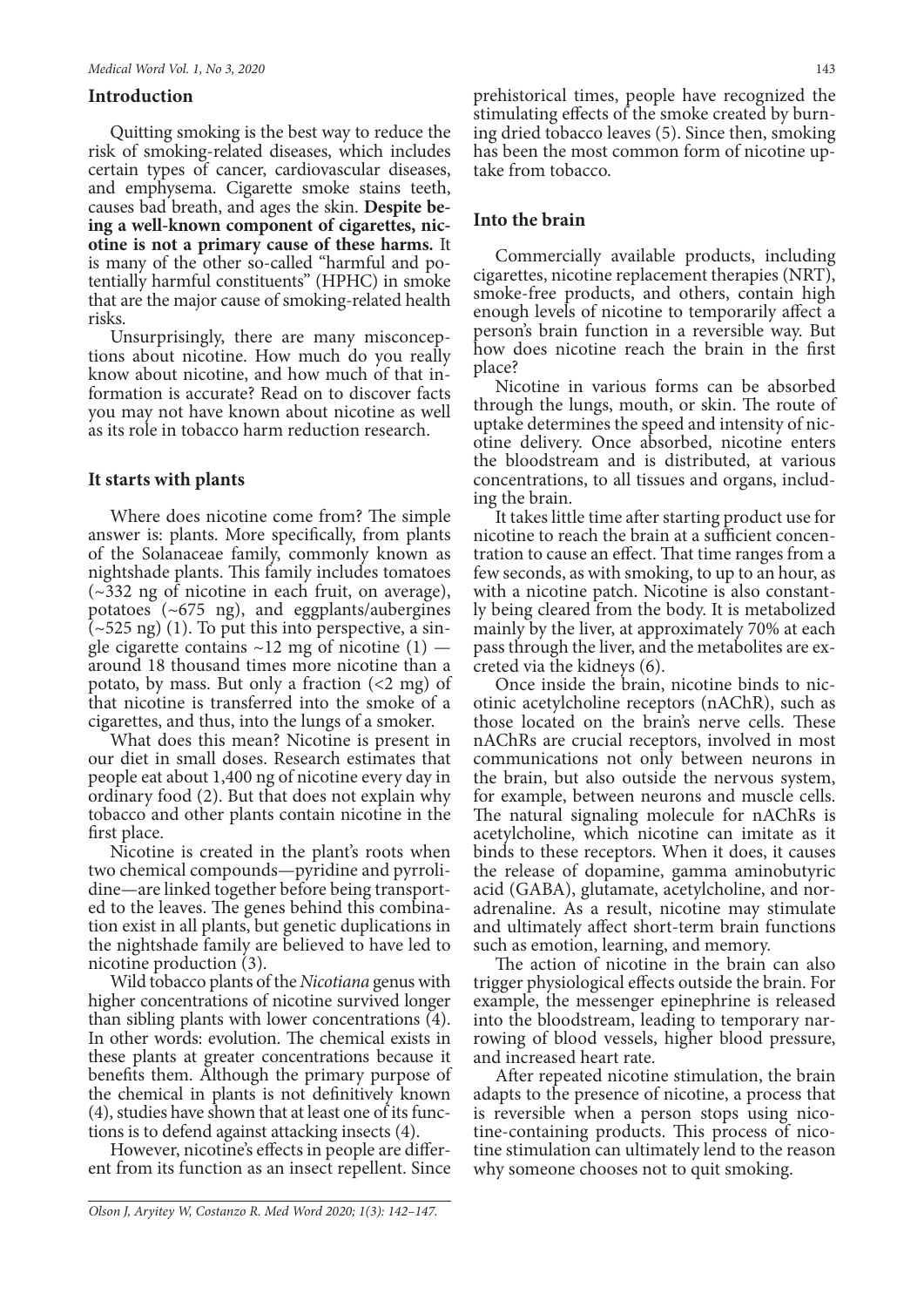## **Introduction**

Quitting smoking is the best way to reduce the risk of smoking-related diseases, which includes certain types of cancer, cardiovascular diseases, and emphysema. Cigarette smoke stains teeth, causes bad breath, and ages the skin. **Despite being a well-known component of cigarettes, nicotine is not a primary cause of these harms.** It is many of the other so-called "harmful and potentially harmful constituents" (HPHC) in smoke that are the major cause of smoking-related health risks.

Unsurprisingly, there are many misconceptions about nicotine. How much do you really know about nicotine, and how much of that information is accurate? Read on to discover facts you may not have known about nicotine as well as its role in tobacco harm reduction research.

## **It starts with plants**

Where does nicotine come from? The simple answer is: plants. More specifically, from plants of the Solanaceae family, commonly known as nightshade plants. This family includes tomatoes  $(\sim 332$  ng of nicotine in each fruit, on average), potatoes (~675 ng), and eggplants/aubergines  $\overline{(-525 \text{ ng})}$  (1). To put this into perspective, a single cigarette contains  $\sim$ 12 mg of nicotine (1) around 18 thousand times more nicotine than a potato, by mass. But only a fraction  $\left($  <2 mg) of that nicotine is transferred into the smoke of a cigarettes, and thus, into the lungs of a smoker.

What does this mean? Nicotine is present in our diet in small doses. Research estimates that people eat about 1,400 ng of nicotine every day in ordinary food (2). But that does not explain why tobacco and other plants contain nicotine in the first place.

Nicotine is created in the plant's roots when two chemical compounds—pyridine and pyrrolidine—are linked together before being transported to the leaves. The genes behind this combination exist in all plants, but genetic duplications in the nightshade family are believed to have led to nicotine production (3).

Wild tobacco plants of the *Nicotiana* genus with higher concentrations of nicotine survived longer than sibling plants with lower concentrations (4). In other words: evolution. The chemical exists in these plants at greater concentrations because it benefits them. Although the primary purpose of the chemical in plants is not definitively known (4), studies have shown that at least one of its functions is to defend against attacking insects (4).

However, nicotine's effects in people are different from its function as an insect repellent. Since

prehistorical times, people have recognized the stimulating effects of the smoke created by burn- ing dried tobacco leaves (5). Since then, smoking has been the most common form of nicotine up-<br>take from tobacco.

## **Into the brain**

Commercially available products, including cigarettes, nicotine replacement therapies (NRT), smoke-free products, and others, contain high enough levels of nicotine to temporarily affect a person's brain function in a reversible way. But how does nicotine reach the brain in the first place?

Nicotine in various forms can be absorbed through the lungs, mouth, or skin. The route of uptake determines the speed and intensity of nicotine delivery. Once absorbed, nicotine enters the bloodstream and is distributed, at various concentrations, to all tissues and organs, including the brain.

It takes little time after starting product use for nicotine to reach the brain at a sufficient concentration to cause an effect. That time ranges from a few seconds, as with smoking, to up to an hour, as with a nicotine patch. Nicotine is also constantly being cleared from the body. It is metabolized mainly by the liver, at approximately 70% at each pass through the liver, and the metabolites are excreted via the kidneys (6).

Once inside the brain, nicotine binds to nicotinic acetylcholine receptors (nAChR), such as those located on the brain's nerve cells. These nAChRs are crucial receptors, involved in most communications not only between neurons in the brain, but also outside the nervous system, for example, between neurons and muscle cells. The natural signaling molecule for nAChRs is acetylcholine, which nicotine can imitate as it binds to these receptors. When it does, it causes the release of dopamine, gamma aminobutyric acid (GABA), glutamate, acetylcholine, and nor- adrenaline. As a result, nicotine may stimulate and ultimately affect short-term brain functions such as emotion, learning, and memory.

The action of nicotine in the brain can also trigger physiological effects outside the brain. For example, the messenger epinephrine is released into the bloodstream, leading to temporary narrowing of blood vessels, higher blood pressure, and increased heart rate.

After repeated nicotine stimulation, the brain adapts to the presence of nicotine, a process that is reversible when a person stops using nicotine-containing products. This process of nicotine stimulation can ultimately lend to the reason why someone chooses not to quit smoking.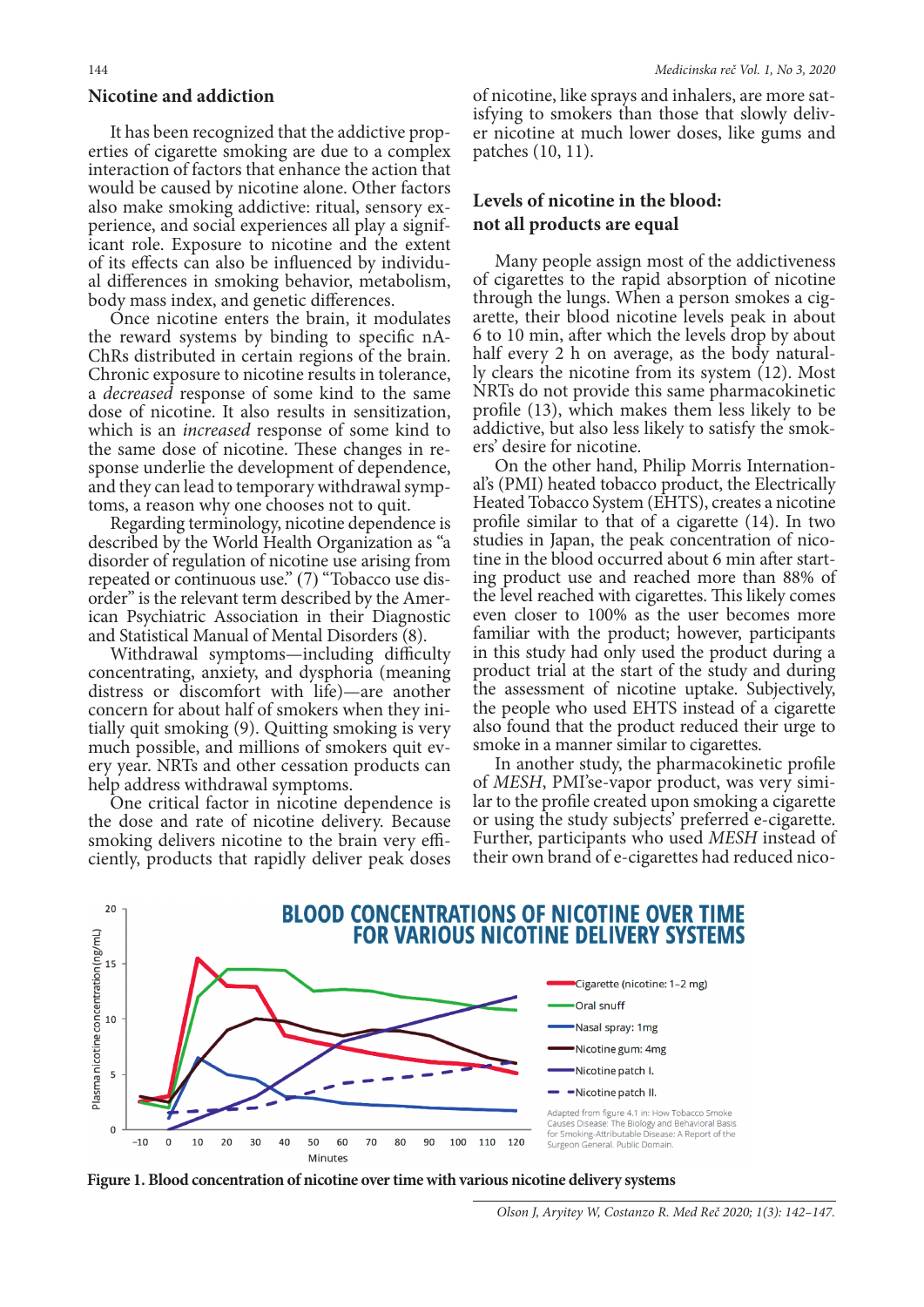#### **Nicotine and addiction**

It has been recognized that the addictive properties of cigarette smoking are due to a complex interaction of factors that enhance the action that would be caused by nicotine alone. Other factors also make smoking addictive: ritual, sensory experience, and social experiences all play a significant role. Exposure to nicotine and the extent of its effects can also be influenced by individual differences in smoking behavior, metabolism, body mass index, and genetic differences.

Once nicotine enters the brain, it modulates the reward systems by binding to specific nA-ChRs distributed in certain regions of the brain. Chronic exposure to nicotine results in tolerance, a *decreased* response of some kind to the same dose of nicotine. It also results in sensitization, which is an *increased* response of some kind to the same dose of nicotine. These changes in response underlie the development of dependence, and they can lead to temporary withdrawal symptoms, a reason why one chooses not to quit.

Regarding terminology, nicotine dependence is described by the World Health Organization as "a disorder of regulation of nicotine use arising from repeated or continuous use." (7) "Tobacco use disorder" is the relevant term described by the American Psychiatric Association in their Diagnostic and Statistical Manual of Mental Disorders (8).

Withdrawal symptoms—including difficulty concentrating, anxiety, and dysphoria (meaning distress or discomfort with life)—are another concern for about half of smokers when they initially quit smoking (9). Quitting smoking is very much possible, and millions of smokers quit ev- ery year. NRTs and other cessation products can help address withdrawal symptoms.

One critical factor in nicotine dependence is the dose and rate of nicotine delivery. Because smoking delivers nicotine to the brain very efficiently, products that rapidly deliver peak doses

of nicotine, like sprays and inhalers, are more sat- isfying to smokers than those that slowly deliver nicotine at much lower doses, like gums and patches (10, 11).

## **Levels of nicotine in the blood: not all products are equal**

Many people assign most of the addictiveness of cigarettes to the rapid absorption of nicotine through the lungs. When a person smokes a cigarette, their blood nicotine levels peak in about 6 to 10 min, after which the levels drop by about half every 2 h on average, as the body naturally clears the nicotine from its system (12). Most NRTs do not provide this same pharmacokinetic profile (13), which makes them less likely to be addictive, but also less likely to satisfy the smokers' desire for nicotine.

On the other hand, Philip Morris International's (PMI) heated tobacco product, the Electrically Heated Tobacco System (EHTS), creates a nicotine profile similar to that of a cigarette (14). In two studies in Japan, the peak concentration of nicotine in the blood occurred about 6 min after starting product use and reached more than 88% of the level reached with cigarettes. This likely comes even closer to 100% as the user becomes more familiar with the product; however, participants in this study had only used the product during a product trial at the start of the study and during the assessment of nicotine uptake. Subjectively, the people who used EHTS instead of a cigarette also found that the product reduced their urge to smoke in a manner similar to cigarettes.

In another study, the pharmacokinetic profile of *MESH*, PMI'se-vapor product, was very simi- lar to the profile created upon smoking a cigarette or using the study subjects' preferred e-cigarette. Further, participants who used *MESH* instead of their own brand of e-cigarettes had reduced nico-



**Figure 1. Blood concentration of nicotine over time with various nicotine delivery systems**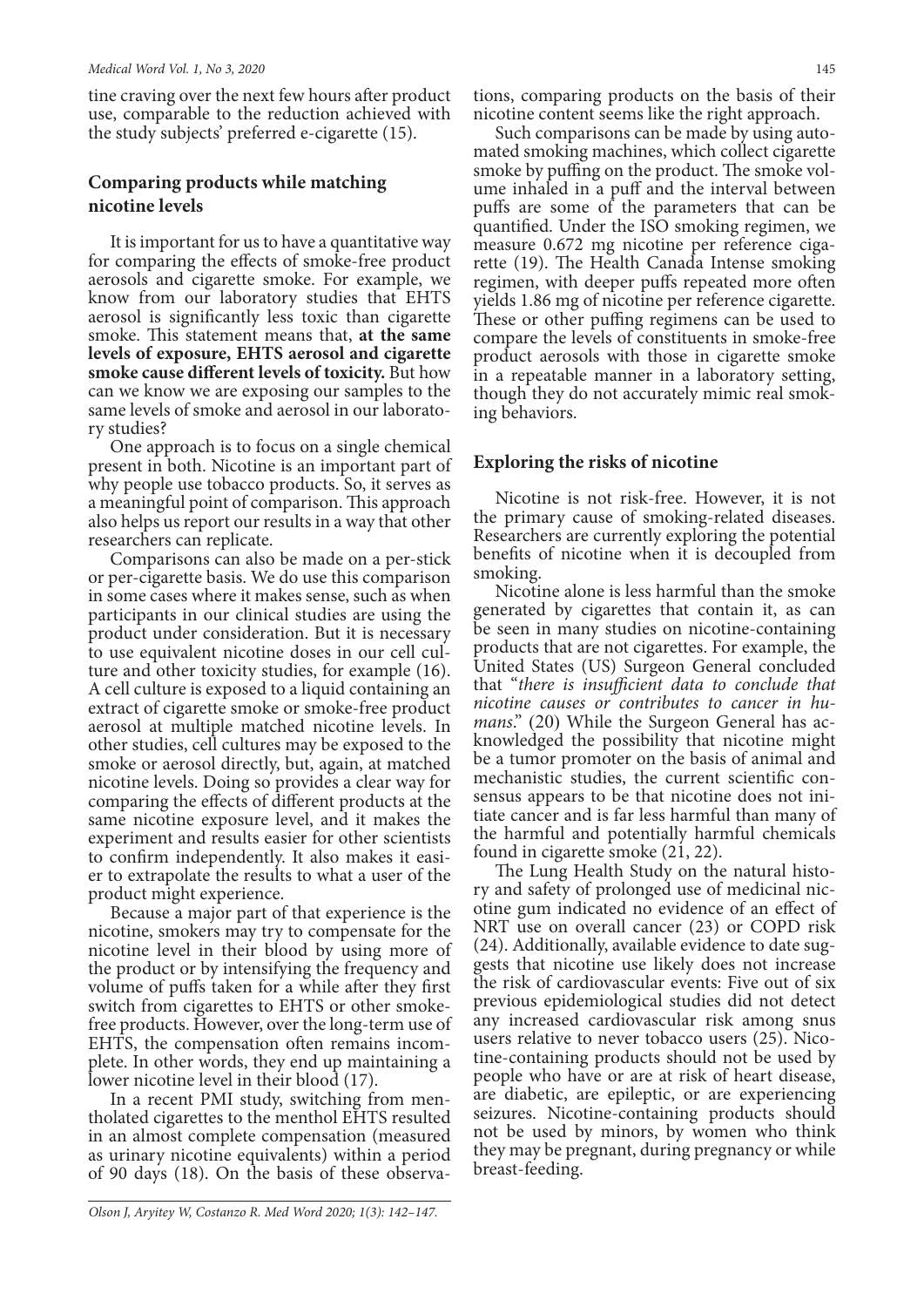tine craving over the next few hours after product use, comparable to the reduction achieved with the study subjects' preferred e-cigarette (15).

# **Comparing products while matching nicotine levels**

It is important for us to have a quantitative way for comparing the effects of smoke-free product aerosols and cigarette smoke. For example, we know from our laboratory studies that EHTS aerosol is significantly less toxic than cigarette smoke. This statement means that, **at the same levels of exposure, EHTS aerosol and cigarette smoke cause different levels of toxicity.** But how can we know we are exposing our samples to the same levels of smoke and aerosol in our laboratory studies?

One approach is to focus on a single chemical present in both. Nicotine is an important part of why people use tobacco products. So, it serves as a meaningful point of comparison. This approach also helps us report our results in a way that other researchers can replicate.

Comparisons can also be made on a per-stick or per-cigarette basis. We do use this comparison in some cases where it makes sense, such as when participants in our clinical studies are using the product under consideration. But it is necessary to use equivalent nicotine doses in our cell culture and other toxicity studies, for example (16). A cell culture is exposed to a liquid containing an extract of cigarette smoke or smoke-free product aerosol at multiple matched nicotine levels. In other studies, cell cultures may be exposed to the smoke or aerosol directly, but, again, at matched nicotine levels. Doing so provides a clear way for comparing the effects of different products at the same nicotine exposure level, and it makes the experiment and results easier for other scientists to confirm independently. It also makes it easi- er to extrapolate the results to what a user of the product might experience.

Because a major part of that experience is the nicotine, smokers may try to compensate for the nicotine level in their blood by using more of the product or by intensifying the frequency and volume of puffs taken for a while after they first switch from cigarettes to EHTS or other smokefree products. However, over the long-term use of EHTS, the compensation often remains incomplete. In other words, they end up maintaining a lower nicotine level in their blood (17).

In a recent PMI study, switching from mentholated cigarettes to the menthol EHTS resulted in an almost complete compensation (measured as urinary nicotine equivalents) within a period of 90 days (18). On the basis of these observations, comparing products on the basis of their nicotine content seems like the right approach.

Such comparisons can be made by using auto- mated smoking machines, which collect cigarette smoke by puffing on the product. The smoke vol- ume inhaled in a puff and the interval between puffs are some of the parameters that can be quantified. Under the ISO smoking regimen, we measure 0.672 mg nicotine per reference cigarette (19). The Health Canada Intense smoking regimen, with deeper puffs repeated more often yields 1.86 mg of nicotine per reference cigarette. These or other puffing regimens can be used to compare the levels of constituents in smoke-free product aerosols with those in cigarette smoke in a repeatable manner in a laboratory setting, though they do not accurately mimic real smoking behaviors.

## **Exploring the risks of nicotine**

Nicotine is not risk-free. However, it is not the primary cause of smoking-related diseases. Researchers are currently exploring the potential benefits of nicotine when it is decoupled from smoking.

Nicotine alone is less harmful than the smoke generated by cigarettes that contain it, as can be seen in many studies on nicotine-containing products that are not cigarettes. For example, the United States (US) Surgeon General concluded that "*there is insufficient data to conclude that nicotine causes or contributes to cancer in hu*knowledged the possibility that nicotine might be a tumor promoter on the basis of animal and mechanistic studies, the current scientific con-<br>sensus appears to be that nicotine does not ini-<br>tiate cancer and is far less harmful than many of the harmful and potentially harmful chemicals found in cigarette smoke (21, 22).

The Lung Health Study on the natural histo- ry and safety of prolonged use of medicinal nic- otine gum indicated no evidence of an effect of NRT use on overall cancer (23) or COPD risk (24). Additionally, available evidence to date sug- gests that nicotine use likely does not increase the risk of cardiovascular events: Five out of six previous epidemiological studies did not detect any increased cardiovascular risk among snus users relative to never tobacco users (25). Nicotine-containing products should not be used by people who have or are at risk of heart disease, are diabetic, are epileptic, or are experiencing seizures. Nicotine-containing products should not be used by minors, by women who think they may be pregnant, during pregnancy or while breast-feeding.

*Olson J, Aryitey W, Costanzo R. Med Word 2020; 1(3): 142–147.*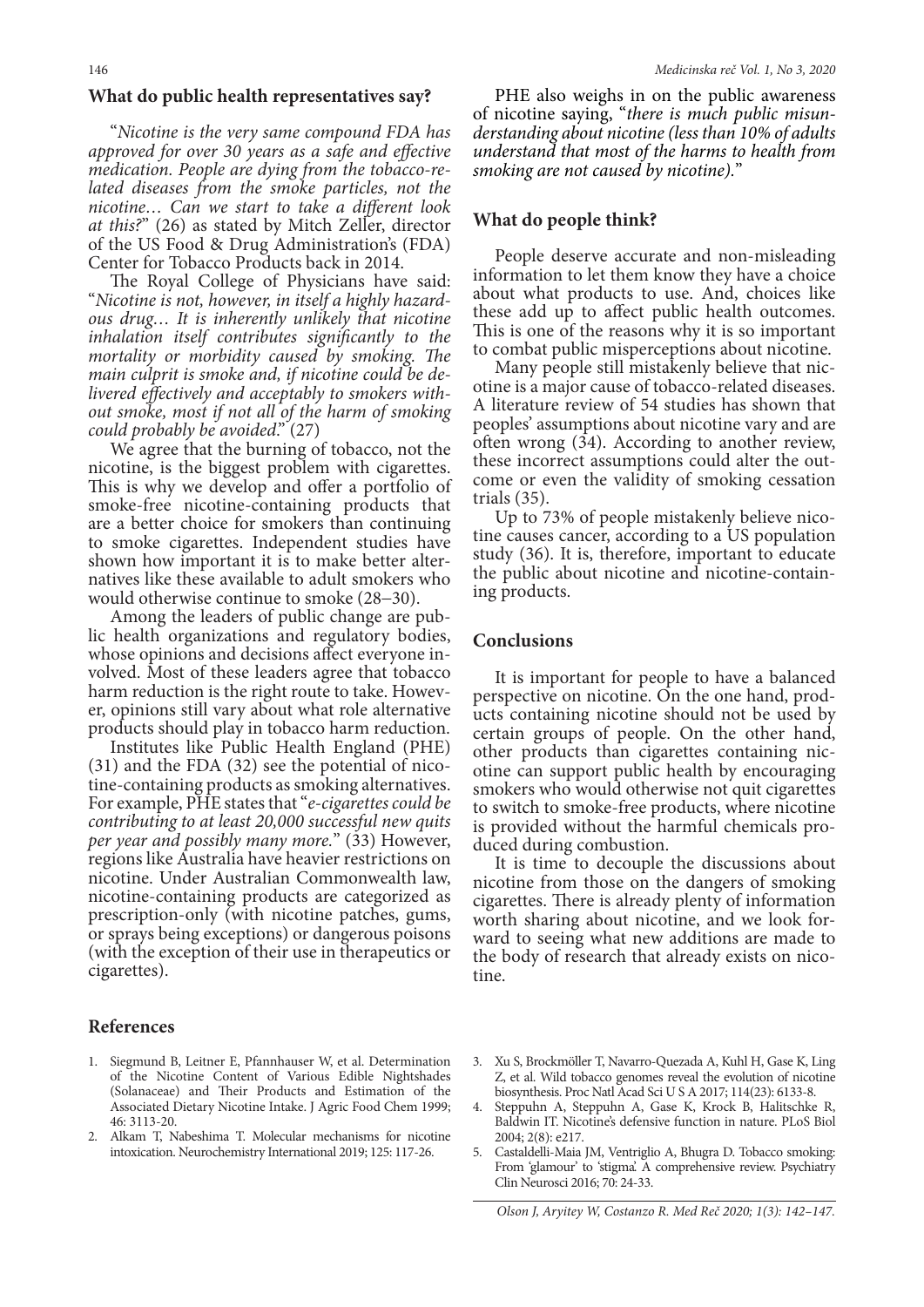#### **What do public health representatives say?**

"*Nicotine is the very same compound FDA has approved for over 30 years as a safe and effective medication. People are dying from the tobacco-related diseases from the smoke particles, not the nicotine… Can we start to take a different look at this?*" (26) as stated by Mitch Zeller, director of the US Food & Drug Administration's (FDA) Center for Tobacco Products back in 2014.

The Royal College of Physicians have said: "*Nicotine is not, however, in itself a highly hazardous drug… It is inherently unlikely that nicotine inhalation itself contributes significantly to the mortality or morbidity caused by smoking. The main culprit is smoke and, if nicotine could be delivered effectively and acceptably to smokers without smoke, most if not all of the harm of smoking could probably be avoided*." (27)

We agree that the burning of tobacco, not the nicotine, is the biggest problem with cigarettes. This is why we develop and offer a portfolio of smoke-free nicotine-containing products that are a better choice for smokers than continuing to smoke cigarettes. Independent studies have shown how important it is to make better alternatives like these available to adult smokers who would otherwise continue to smoke (28−30).

Among the leaders of public change are public health organizations and regulatory bodies, whose opinions and decisions affect everyone involved. Most of these leaders agree that tobacco harm reduction is the right route to take. However, opinions still vary about what role alternative products should play in tobacco harm reduction.

Institutes like Public Health England (PHE) (31) and the FDA (32) see the potential of nico- tine-containing products as smoking alternatives. For example, PHE states that "*e-cigarettes could be contributing to at least 20,000 successful new quits per year and possibly many more.*" (33) However, regions like Australia have heavier restrictions on nicotine. Under Australian Commonwealth law, nicotine-containing products are categorized as prescription-only (with nicotine patches, gums, or sprays being exceptions) or dangerous poisons (with the exception of their use in therapeutics or cigarettes).

## **References**

- 1. Siegmund B, Leitner E, Pfannhauser W, et al. Determination of the Nicotine Content of Various Edible Nightshades (Solanaceae) and Their Products and Estimation of the Associated Dietary Nicotine Intake. J Agric Food Chem 1999; 46: 3113-20.
- 2. Alkam T, Nabeshima T. Molecular mechanisms for nicotine intoxication. Neurochemistry International 2019; 125: 117-26.

PHE also weighs in on the public awareness of nicotine saying, "*there is much public misunderstanding about nicotine (less than 10% of adults understand that most of the harms to health from smoking are not caused by nicotine).*"

## **What do people think?**

People deserve accurate and non-misleading information to let them know they have a choice about what products to use. And, choices like these add up to affect public health outcomes. This is one of the reasons why it is so important to combat public misperceptions about nicotine.

Many people still mistakenly believe that nicotine is a major cause of tobacco-related diseases. A literature review of 54 studies has shown that peoples' assumptions about nicotine vary and are often wrong (34). According to another review, these incorrect assumptions could alter the outcome or even the validity of smoking cessation trials (35).

Up to 73% of people mistakenly believe nicotine causes cancer, according to a US population study (36). It is, therefore, important to educate the public about nicotine and nicotine-containing products.

## **Conclusions**

It is important for people to have a balanced perspective on nicotine. On the one hand, products containing nicotine should not be used by certain groups of people. On the other hand, other products than cigarettes containing nicotine can support public health by encouraging smokers who would otherwise not quit cigarettes to switch to smoke-free products, where nicotine is provided without the harmful chemicals produced during combustion.

It is time to decouple the discussions about nicotine from those on the dangers of smoking cigarettes. There is already plenty of information worth sharing about nicotine, and we look forward to seeing what new additions are made to the body of research that already exists on nicotine.

- 3. Xu S, Brockmöller T, Navarro-Quezada A, Kuhl H, Gase K, Ling Z, et al. Wild tobacco genomes reveal the evolution of nicotine biosynthesis. Proc Natl Acad Sci U S A 2017; 114(23): 6133-8.
- 4. Steppuhn A, Steppuhn A, Gase K, Krock B, Halitschke R, Baldwin IT. Nicotine's defensive function in nature. PLoS Biol 2004; 2(8): e217.
- 5. Castaldelli-Maia JM, Ventriglio A, Bhugra D. Tobacco smoking: From 'glamour' to 'stigma'. A comprehensive review. Psychiatry Clin Neurosci 2016; 70: 24-33.